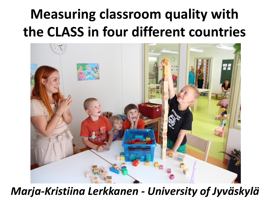### **Measuring classroom quality with the CLASS in four different countries**



#### *Marja-Kristiina Lerkkanen - University of Jyväskylä*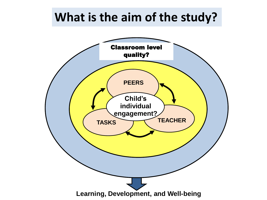#### **What is the aim of the study?**

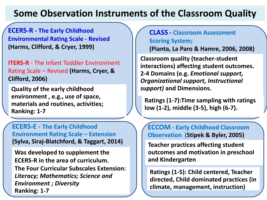#### **Some Observation Instruments of the Classroom Quality**

**ECERS-R - The Early Childhood Environmental Rating Scale - Revised (Harms, Clifford, & Cryer, 1999)**

**ITERS-R** - The Infant Toddler Environment Rating Scale – Revised **(Harms, Cryer, & Clifford, 2006)**

**Quality of the early childhood environment , e.g., use of space, materials and routines, activities; Ranking: 1-7**

**ECERS-E - The Early Childhood Environment Rating Scale – Extension (Sylva, Siraj-Blatchford, & Taggart, 2014)**

**Was developed to supplement the ECERS-R in the area of curriculum. The Four Curricular Subscales Extension:** *Literacy; Mathematics; Science and Environment ; Diversity* **Ranking: 1-7**

**CLASS - Classroom Assessment Scoring System;** 

**(Pianta, La Paro & Hamre, 2006, 2008)** 

**Classroom quality (teacher-student interactions) affecting student outcomes. 2-4 Domains (e.g.** *Emotional support, Organizational support, Instructional support)* **and Dimensions.**

**Ratings (1-7):Time sampling with ratings low (1-2), middle (3-5), high (6-7).**

**ECCOM - Early Childhood Classroom Observation (Stipek & Byler, 2005)** 

**Teacher practices affecting student outcomes and motivation in preschool and Kindergarten**

**Ratings (1-5): Child centered, Teacher directed, Child dominated practices (in climate, management, instruction)**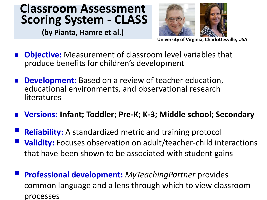#### **Classroom Assessment Scoring System - CLASS**

**(by Pianta, Hamre et al.)** 



**University of Virginia, Charlottesville, USA**

- **Objective:** Measurement of classroom level variables that produce benefits for children's development
- **Development:** Based on a review of teacher education, educational environments, and observational research literatures
- **Versions: Infant; Toddler; Pre-K; K-3; Middle school; Secondary**
- **Reliability:** A standardized metric and training protocol **Validity:** Focuses observation on adult/teacher-child interactions that have been shown to be associated with student gains
- **Professional development:** *MyTeachingPartner* provides common language and a lens through which to view classroom processes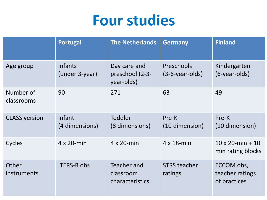#### **Four studies**

|                             | <b>Portugal</b>                  | <b>The Netherlands</b>                        | <b>Germany</b>                  | <b>Finland</b>                                |
|-----------------------------|----------------------------------|-----------------------------------------------|---------------------------------|-----------------------------------------------|
| Age group                   | <b>Infants</b><br>(under 3-year) | Day care and<br>preschool (2-3-<br>year-olds) | Preschools<br>$(3-6-year-olds)$ | Kindergarten<br>$(6$ -year-olds)              |
| Number of<br>classrooms     | 90                               | 271                                           | 63                              | 49                                            |
| <b>CLASS version</b>        | Infant<br>(4 dimensions)         | Toddler<br>(8 dimensions)                     | Pre-K<br>(10 dimension)         | Pre-K<br>(10 dimension)                       |
| Cycles                      | $4 \times 20$ -min               | $4 \times 20$ -min                            | $4 \times 18$ -min              | $10 \times 20$ -min + 10<br>min rating blocks |
| Other<br><i>instruments</i> | <b>ITERS-R obs</b>               | Teacher and<br>classroom<br>characteristics   | <b>STRS teacher</b><br>ratings  | ECCOM obs,<br>teacher ratings<br>of practices |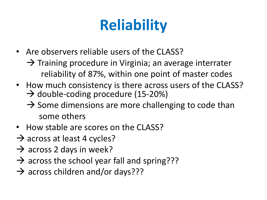# **Reliability**

- Are observers reliable users of the CLASS?
	- $\rightarrow$  Training procedure in Virginia; an average interrater reliability of 87%, within one point of master codes
- How much consistency is there across users of the CLASS?  $\rightarrow$  double-coding procedure (15-20%)
	- $\rightarrow$  Some dimensions are more challenging to code than some others
- How stable are scores on the CLASS?
- $\rightarrow$  across at least 4 cycles?
- $\rightarrow$  across 2 days in week?
- $\rightarrow$  across the school year fall and spring???
- $\rightarrow$  across children and/or days???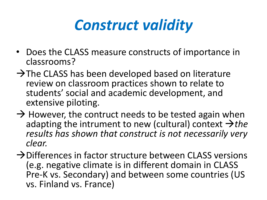### *Construct validity*

- Does the CLASS measure constructs of importance in classrooms?
- $\rightarrow$  The CLASS has been developed based on literature review on classroom practices shown to relate to students' social and academic development, and extensive piloting.
- $\rightarrow$  However, the contruct needs to be tested again when adapting the intrument to new (cultural) context  $\rightarrow$ the *results has shown that construct is not necessarily very clear.*
- $\rightarrow$  Differences in factor structure between CLASS versions (e.g. negative climate is in different domain in CLASS Pre-K vs. Secondary) and between some countries (US vs. Finland vs. France)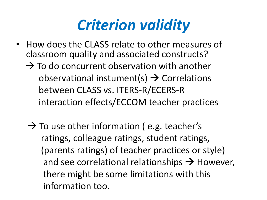#### *Criterion validity*

- How does the CLASS relate to other measures of classroom quality and associated constructs?
	- $\rightarrow$  To do concurrent observation with another observational instument(s)  $\rightarrow$  Correlations between CLASS vs. ITERS-R/ECERS-R interaction effects/ECCOM teacher practices
	- $\rightarrow$  To use other information (e.g. teacher's ratings, colleague ratings, student ratings, (parents ratings) of teacher practices or style) and see correlational relationships  $\rightarrow$  However, there might be some limitations with this information too.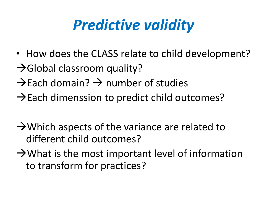## *Predictive validity*

- How does the CLASS relate to child development?
- $\rightarrow$  Global classroom quality?
- $\rightarrow$  Each domain?  $\rightarrow$  number of studies
- $\rightarrow$  Each dimenssion to predict child outcomes?
- $\rightarrow$  Which aspects of the variance are related to different child outcomes?
- $\rightarrow$  What is the most important level of information to transform for practices?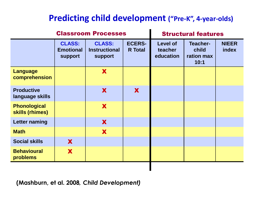#### **Predicting child development ("Pre-K", 4-year-olds)**

|                                        |                                                     | <b>Classroom Processes</b>                              |                                 | <b>Structural features</b>              |                                                |                       |
|----------------------------------------|-----------------------------------------------------|---------------------------------------------------------|---------------------------------|-----------------------------------------|------------------------------------------------|-----------------------|
|                                        | <b>CLASS:</b><br><b>Emotional</b><br><b>support</b> | <b>CLASS:</b><br><b>Instructional</b><br><b>support</b> | <b>ECERS-</b><br><b>R</b> Total | <b>Level of</b><br>teacher<br>education | <b>Teacher-</b><br>child<br>ration max<br>10:1 | <b>NIEER</b><br>index |
| <b>Language</b><br>comprehension       |                                                     | X                                                       |                                 |                                         |                                                |                       |
| <b>Productive</b><br>language skills   |                                                     | X                                                       | X                               |                                         |                                                |                       |
| <b>Phonological</b><br>skills (rhimes) |                                                     | X                                                       |                                 |                                         |                                                |                       |
| <b>Letter naming</b>                   |                                                     | X                                                       |                                 |                                         |                                                |                       |
| <b>Math</b>                            |                                                     | X                                                       |                                 |                                         |                                                |                       |
| <b>Social skills</b>                   | X                                                   |                                                         |                                 |                                         |                                                |                       |
| <b>Behavioural</b><br>problems         | X                                                   |                                                         |                                 |                                         |                                                |                       |

**(Mashburn, et al. 2008***, Child Development)*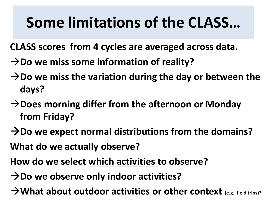## **Some limitations of the CLASS…**

- **CLASS scores from 4 cycles are averaged across data.**
- **→Do we miss some information of reality?**
- **→Do we miss the variation during the day or between the days?**
- **→Does morning differ from the afternoon or Monday from Friday?**
- → Do we expect normal distributions from the domains?
- **What do we actually observe?**
- **How do we select which activities to observe?**
- → Do we observe only indoor activities?
- → What about outdoor activities or other context <sub>(e.g., field trips)?</sub>